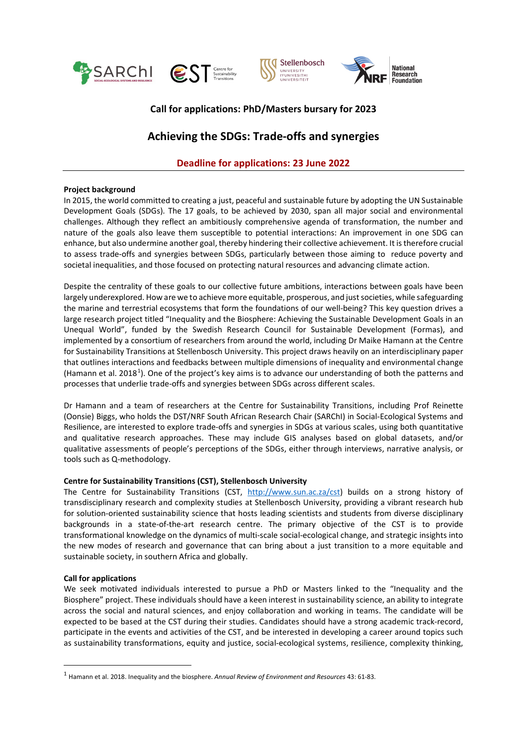<span id="page-0-0"></span>





# **Call for applications: PhD/Masters bursary for 2023**

# **Achieving the SDGs: Trade-offs and synergies**

# **Deadline for applications: 23 June 2022**

# **Project background**

In 2015, the world committed to creating a just, peaceful and sustainable future by adopting the UN Sustainable Development Goals (SDGs). The 17 goals, to be achieved by 2030, span all major social and environmental challenges. Although they reflect an ambitiously comprehensive agenda of transformation, the number and nature of the goals also leave them susceptible to potential interactions: An improvement in one SDG can enhance, but also undermine another goal, thereby hindering their collective achievement. It is therefore crucial to assess trade-offs and synergies between SDGs, particularly between those aiming to reduce poverty and societal inequalities, and those focused on protecting natural resources and advancing climate action.

Despite the centrality of these goals to our collective future ambitions, interactions between goals have been largely underexplored. How are we to achieve more equitable, prosperous, and just societies, while safeguarding the marine and terrestrial ecosystems that form the foundations of our well-being? This key question drives a large research project titled "Inequality and the Biosphere: Achieving the Sustainable Development Goals in an Unequal World", funded by the Swedish Research Council for Sustainable Development (Formas), and implemented by a consortium of researchers from around the world, including Dr Maike Hamann at the Centre for Sustainability Transitions at Stellenbosch University. This project draws heavily on an interdisciplinary paper that outlines interactions and feedbacks between multiple dimensions of inequality and environmental change (Hamann et al. 20[1](#page-0-0)8<sup>1</sup>). One of the project's key aims is to advance our understanding of both the patterns and processes that underlie trade-offs and synergies between SDGs across different scales.

Dr Hamann and a team of researchers at the Centre for Sustainability Transitions, including Prof Reinette (Oonsie) Biggs, who holds the DST/NRF South African Research Chair (SARChI) in Social-Ecological Systems and Resilience, are interested to explore trade-offs and synergies in SDGs at various scales, using both quantitative and qualitative research approaches. These may include GIS analyses based on global datasets, and/or qualitative assessments of people's perceptions of the SDGs, either through interviews, narrative analysis, or tools such as Q-methodology.

# **Centre for Sustainability Transitions (CST), Stellenbosch University**

The Centre for Sustainability Transitions (CST, [http://www.sun.ac.za/cst\)](http://www.sun.ac.za/cst) builds on a strong history of transdisciplinary research and complexity studies at Stellenbosch University, providing a vibrant research hub for solution-oriented sustainability science that hosts leading scientists and students from diverse disciplinary backgrounds in a state-of-the-art research centre. The primary objective of the CST is to provide transformational knowledge on the dynamics of multi-scale social-ecological change, and strategic insights into the new modes of research and governance that can bring about a just transition to a more equitable and sustainable society, in southern Africa and globally.

# **Call for applications**

 $\overline{a}$ 

We seek motivated individuals interested to pursue a PhD or Masters linked to the "Inequality and the Biosphere" project. These individuals should have a keen interest in sustainability science, an ability to integrate across the social and natural sciences, and enjoy collaboration and working in teams. The candidate will be expected to be based at the CST during their studies. Candidates should have a strong academic track-record, participate in the events and activities of the CST, and be interested in developing a career around topics such as sustainability transformations, equity and justice, social-ecological systems, resilience, complexity thinking,

<sup>1</sup> Hamann et al. 2018. Inequality and the biosphere. *Annual Review of Environment and Resources* 43: 61-83.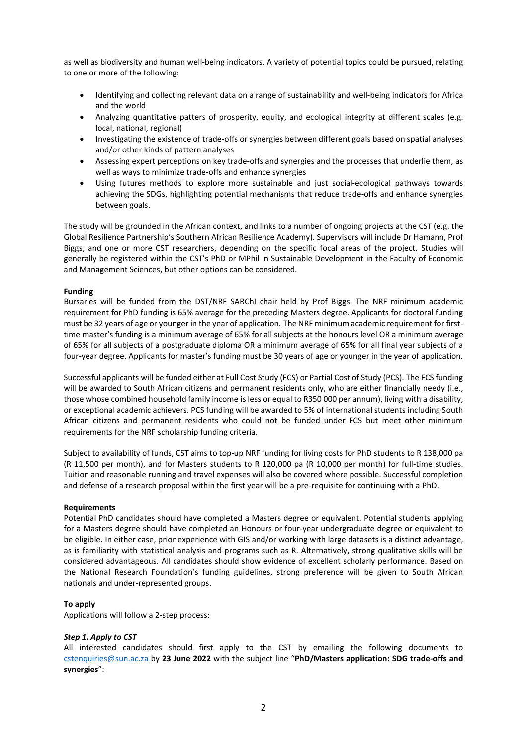as well as biodiversity and human well-being indicators. A variety of potential topics could be pursued, relating to one or more of the following:

- Identifying and collecting relevant data on a range of sustainability and well-being indicators for Africa and the world
- Analyzing quantitative patters of prosperity, equity, and ecological integrity at different scales (e.g. local, national, regional)
- Investigating the existence of trade-offs or synergies between different goals based on spatial analyses and/or other kinds of pattern analyses
- Assessing expert perceptions on key trade-offs and synergies and the processes that underlie them, as well as ways to minimize trade-offs and enhance synergies
- Using futures methods to explore more sustainable and just social-ecological pathways towards achieving the SDGs, highlighting potential mechanisms that reduce trade-offs and enhance synergies between goals.

The study will be grounded in the African context, and links to a number of ongoing projects at the CST (e.g. the Global Resilience Partnership's Southern African Resilience Academy). Supervisors will include Dr Hamann, Prof Biggs, and one or more CST researchers, depending on the specific focal areas of the project. Studies will generally be registered within the CST's PhD or MPhil in Sustainable Development in the Faculty of Economic and Management Sciences, but other options can be considered.

# **Funding**

Bursaries will be funded from the DST/NRF SARChI chair held by Prof Biggs. The NRF minimum academic requirement for PhD funding is 65% average for the preceding Masters degree. Applicants for doctoral funding must be 32 years of age or younger in the year of application. The NRF minimum academic requirement for firsttime master's funding is a minimum average of 65% for all subjects at the honours level OR a minimum average of 65% for all subjects of a postgraduate diploma OR a minimum average of 65% for all final year subjects of a four-year degree. Applicants for master's funding must be 30 years of age or younger in the year of application.

Successful applicants will be funded either at Full Cost Study (FCS) or Partial Cost of Study (PCS). The FCS funding will be awarded to South African citizens and permanent residents only, who are either financially needy (i.e., those whose combined household family income is less or equal to R350 000 per annum), living with a disability, or exceptional academic achievers. PCS funding will be awarded to 5% of international students including South African citizens and permanent residents who could not be funded under FCS but meet other minimum requirements for the NRF scholarship funding criteria.

Subject to availability of funds, CST aims to top-up NRF funding for living costs for PhD students to R 138,000 pa (R 11,500 per month), and for Masters students to R 120,000 pa (R 10,000 per month) for full-time studies. Tuition and reasonable running and travel expenses will also be covered where possible. Successful completion and defense of a research proposal within the first year will be a pre-requisite for continuing with a PhD.

#### **Requirements**

Potential PhD candidates should have completed a Masters degree or equivalent. Potential students applying for a Masters degree should have completed an Honours or four-year undergraduate degree or equivalent to be eligible. In either case, prior experience with GIS and/or working with large datasets is a distinct advantage, as is familiarity with statistical analysis and programs such as R. Alternatively, strong qualitative skills will be considered advantageous. All candidates should show evidence of excellent scholarly performance. Based on the National Research Foundation's funding guidelines, strong preference will be given to South African nationals and under-represented groups.

# **To apply**

Applications will follow a 2-step process:

#### *Step 1. Apply to CST*

All interested candidates should first apply to the CST by emailing the following documents to [cstenquiries@sun.ac.za](mailto:cstenquiries@sun.ac.za) by **23 June 2022** with the subject line "**PhD/Masters application: SDG trade-offs and synergies**":